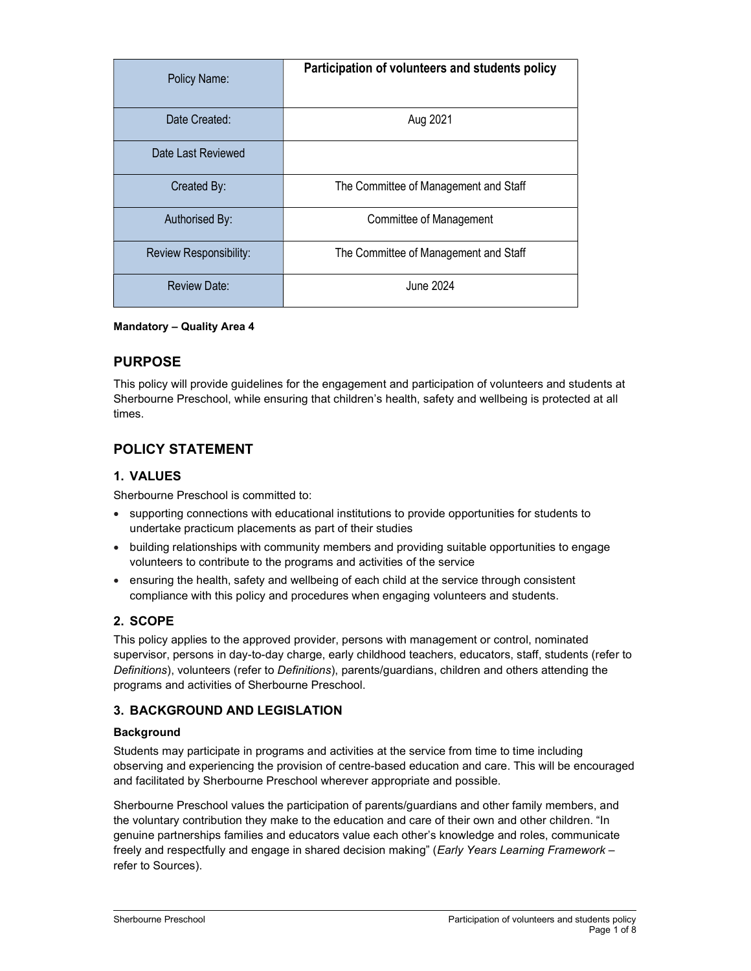| Policy Name:           | Participation of volunteers and students policy |
|------------------------|-------------------------------------------------|
| Date Created:          | Aug 2021                                        |
| Date Last Reviewed     |                                                 |
| Created By:            | The Committee of Management and Staff           |
| Authorised By:         | Committee of Management                         |
| Review Responsibility: | The Committee of Management and Staff           |
| <b>Review Date:</b>    | June 2024                                       |

### Mandatory – Quality Area 4

# PURPOSE

This policy will provide guidelines for the engagement and participation of volunteers and students at Sherbourne Preschool, while ensuring that children's health, safety and wellbeing is protected at all times.

# POLICY STATEMENT

## 1. VALUES

Sherbourne Preschool is committed to:

- supporting connections with educational institutions to provide opportunities for students to undertake practicum placements as part of their studies
- building relationships with community members and providing suitable opportunities to engage volunteers to contribute to the programs and activities of the service
- ensuring the health, safety and wellbeing of each child at the service through consistent compliance with this policy and procedures when engaging volunteers and students.

# 2. SCOPE

This policy applies to the approved provider, persons with management or control, nominated supervisor, persons in day-to-day charge, early childhood teachers, educators, staff, students (refer to Definitions), volunteers (refer to Definitions), parents/guardians, children and others attending the programs and activities of Sherbourne Preschool.

### 3. BACKGROUND AND LEGISLATION

### **Background**

Students may participate in programs and activities at the service from time to time including observing and experiencing the provision of centre-based education and care. This will be encouraged and facilitated by Sherbourne Preschool wherever appropriate and possible.

Sherbourne Preschool values the participation of parents/guardians and other family members, and the voluntary contribution they make to the education and care of their own and other children. "In genuine partnerships families and educators value each other's knowledge and roles, communicate freely and respectfully and engage in shared decision making" (Early Years Learning Framework refer to Sources).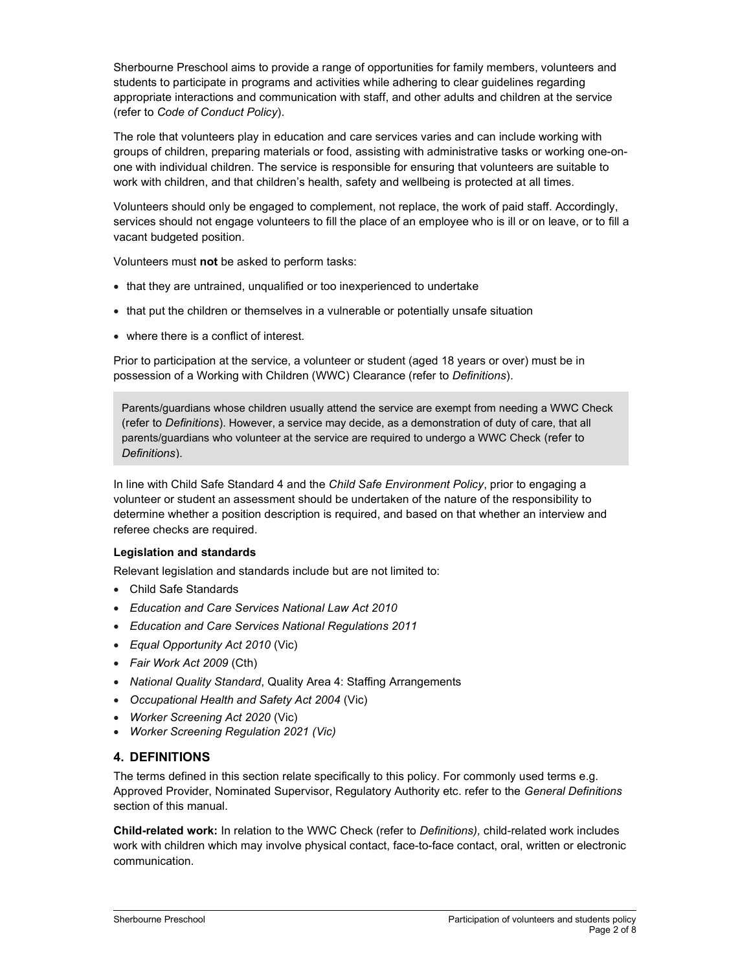Sherbourne Preschool aims to provide a range of opportunities for family members, volunteers and students to participate in programs and activities while adhering to clear guidelines regarding appropriate interactions and communication with staff, and other adults and children at the service (refer to Code of Conduct Policy).

The role that volunteers play in education and care services varies and can include working with groups of children, preparing materials or food, assisting with administrative tasks or working one-onone with individual children. The service is responsible for ensuring that volunteers are suitable to work with children, and that children's health, safety and wellbeing is protected at all times.

Volunteers should only be engaged to complement, not replace, the work of paid staff. Accordingly, services should not engage volunteers to fill the place of an employee who is ill or on leave, or to fill a vacant budgeted position.

Volunteers must not be asked to perform tasks:

- that they are untrained, unqualified or too inexperienced to undertake
- that put the children or themselves in a vulnerable or potentially unsafe situation
- where there is a conflict of interest.

Prior to participation at the service, a volunteer or student (aged 18 years or over) must be in possession of a Working with Children (WWC) Clearance (refer to Definitions).

Parents/guardians whose children usually attend the service are exempt from needing a WWC Check (refer to Definitions). However, a service may decide, as a demonstration of duty of care, that all parents/guardians who volunteer at the service are required to undergo a WWC Check (refer to Definitions).

In line with Child Safe Standard 4 and the Child Safe Environment Policy, prior to engaging a volunteer or student an assessment should be undertaken of the nature of the responsibility to determine whether a position description is required, and based on that whether an interview and referee checks are required.

### Legislation and standards

Relevant legislation and standards include but are not limited to:

- Child Safe Standards
- Education and Care Services National Law Act 2010
- Education and Care Services National Regulations 2011
- Equal Opportunity Act 2010 (Vic)
- Fair Work Act 2009 (Cth)
- National Quality Standard, Quality Area 4: Staffing Arrangements
- Occupational Health and Safety Act 2004 (Vic)
- Worker Screening Act 2020 (Vic)
- Worker Screening Regulation 2021 (Vic)

### 4. DEFINITIONS

The terms defined in this section relate specifically to this policy. For commonly used terms e.g. Approved Provider, Nominated Supervisor, Regulatory Authority etc. refer to the General Definitions section of this manual.

Child-related work: In relation to the WWC Check (refer to Definitions), child-related work includes work with children which may involve physical contact, face-to-face contact, oral, written or electronic communication.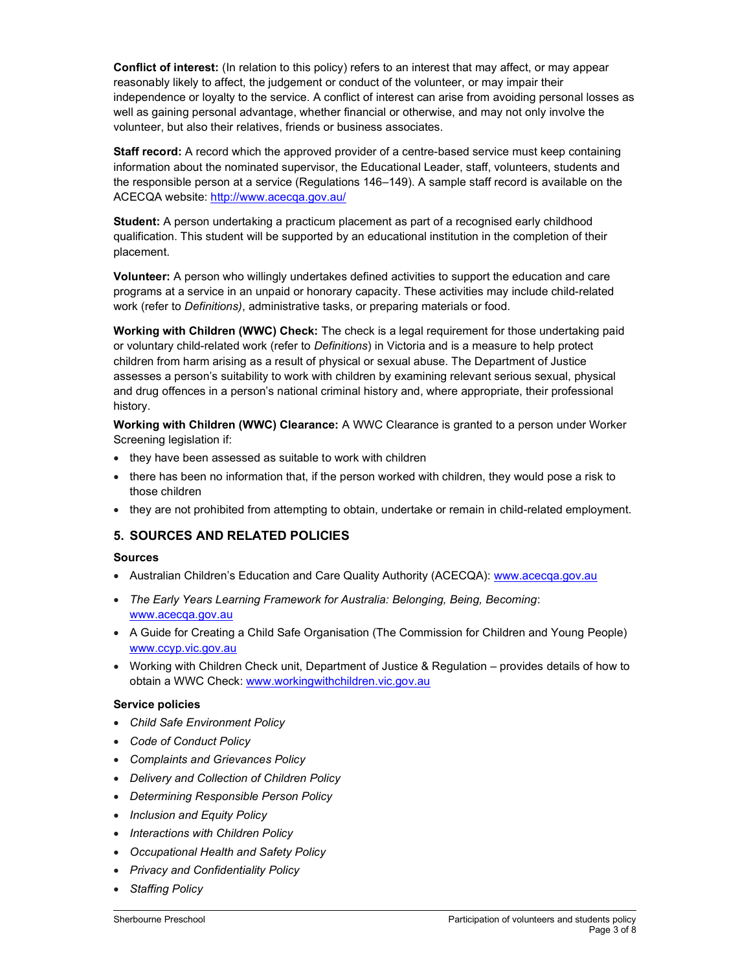Conflict of interest: (In relation to this policy) refers to an interest that may affect, or may appear reasonably likely to affect, the judgement or conduct of the volunteer, or may impair their independence or loyalty to the service. A conflict of interest can arise from avoiding personal losses as well as gaining personal advantage, whether financial or otherwise, and may not only involve the volunteer, but also their relatives, friends or business associates.

Staff record: A record which the approved provider of a centre-based service must keep containing information about the nominated supervisor, the Educational Leader, staff, volunteers, students and the responsible person at a service (Regulations 146–149). A sample staff record is available on the ACECQA website: http://www.acecqa.gov.au/

Student: A person undertaking a practicum placement as part of a recognised early childhood qualification. This student will be supported by an educational institution in the completion of their placement.

Volunteer: A person who willingly undertakes defined activities to support the education and care programs at a service in an unpaid or honorary capacity. These activities may include child-related work (refer to Definitions), administrative tasks, or preparing materials or food.

Working with Children (WWC) Check: The check is a legal requirement for those undertaking paid or voluntary child-related work (refer to Definitions) in Victoria and is a measure to help protect children from harm arising as a result of physical or sexual abuse. The Department of Justice assesses a person's suitability to work with children by examining relevant serious sexual, physical and drug offences in a person's national criminal history and, where appropriate, their professional history.

Working with Children (WWC) Clearance: A WWC Clearance is granted to a person under Worker Screening legislation if:

- they have been assessed as suitable to work with children
- there has been no information that, if the person worked with children, they would pose a risk to those children
- they are not prohibited from attempting to obtain, undertake or remain in child-related employment.

### 5. SOURCES AND RELATED POLICIES

#### Sources

- Australian Children's Education and Care Quality Authority (ACECQA): www.acecqa.gov.au
- The Early Years Learning Framework for Australia: Belonging, Being, Becoming: www.acecqa.gov.au
- A Guide for Creating a Child Safe Organisation (The Commission for Children and Young People) www.ccyp.vic.gov.au
- Working with Children Check unit, Department of Justice & Regulation provides details of how to obtain a WWC Check: www.workingwithchildren.vic.gov.au

### Service policies

- Child Safe Environment Policy
- Code of Conduct Policy
- Complaints and Grievances Policy
- Delivery and Collection of Children Policy
- Determining Responsible Person Policy
- Inclusion and Equity Policy
- Interactions with Children Policy
- Occupational Health and Safety Policy
- Privacy and Confidentiality Policy
- Staffing Policy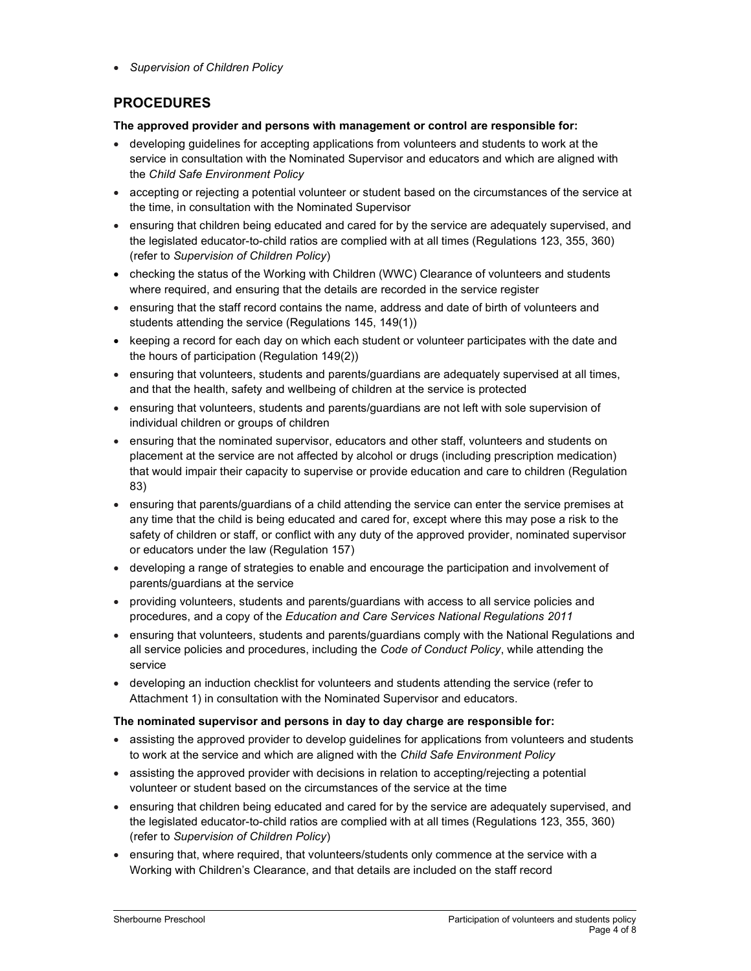• Supervision of Children Policy

# PROCEDURES

The approved provider and persons with management or control are responsible for:

- developing guidelines for accepting applications from volunteers and students to work at the service in consultation with the Nominated Supervisor and educators and which are aligned with the Child Safe Environment Policy
- accepting or rejecting a potential volunteer or student based on the circumstances of the service at the time, in consultation with the Nominated Supervisor
- ensuring that children being educated and cared for by the service are adequately supervised, and the legislated educator-to-child ratios are complied with at all times (Regulations 123, 355, 360) (refer to Supervision of Children Policy)
- checking the status of the Working with Children (WWC) Clearance of volunteers and students where required, and ensuring that the details are recorded in the service register
- ensuring that the staff record contains the name, address and date of birth of volunteers and students attending the service (Regulations 145, 149(1))
- keeping a record for each day on which each student or volunteer participates with the date and the hours of participation (Regulation 149(2))
- ensuring that volunteers, students and parents/guardians are adequately supervised at all times, and that the health, safety and wellbeing of children at the service is protected
- ensuring that volunteers, students and parents/guardians are not left with sole supervision of individual children or groups of children
- ensuring that the nominated supervisor, educators and other staff, volunteers and students on placement at the service are not affected by alcohol or drugs (including prescription medication) that would impair their capacity to supervise or provide education and care to children (Regulation 83)
- ensuring that parents/guardians of a child attending the service can enter the service premises at any time that the child is being educated and cared for, except where this may pose a risk to the safety of children or staff, or conflict with any duty of the approved provider, nominated supervisor or educators under the law (Regulation 157)
- developing a range of strategies to enable and encourage the participation and involvement of parents/guardians at the service
- providing volunteers, students and parents/guardians with access to all service policies and procedures, and a copy of the Education and Care Services National Regulations 2011
- ensuring that volunteers, students and parents/guardians comply with the National Regulations and all service policies and procedures, including the Code of Conduct Policy, while attending the service
- developing an induction checklist for volunteers and students attending the service (refer to Attachment 1) in consultation with the Nominated Supervisor and educators.

### The nominated supervisor and persons in day to day charge are responsible for:

- assisting the approved provider to develop guidelines for applications from volunteers and students to work at the service and which are aligned with the Child Safe Environment Policy
- assisting the approved provider with decisions in relation to accepting/rejecting a potential volunteer or student based on the circumstances of the service at the time
- ensuring that children being educated and cared for by the service are adequately supervised, and the legislated educator-to-child ratios are complied with at all times (Regulations 123, 355, 360) (refer to Supervision of Children Policy)
- ensuring that, where required, that volunteers/students only commence at the service with a Working with Children's Clearance, and that details are included on the staff record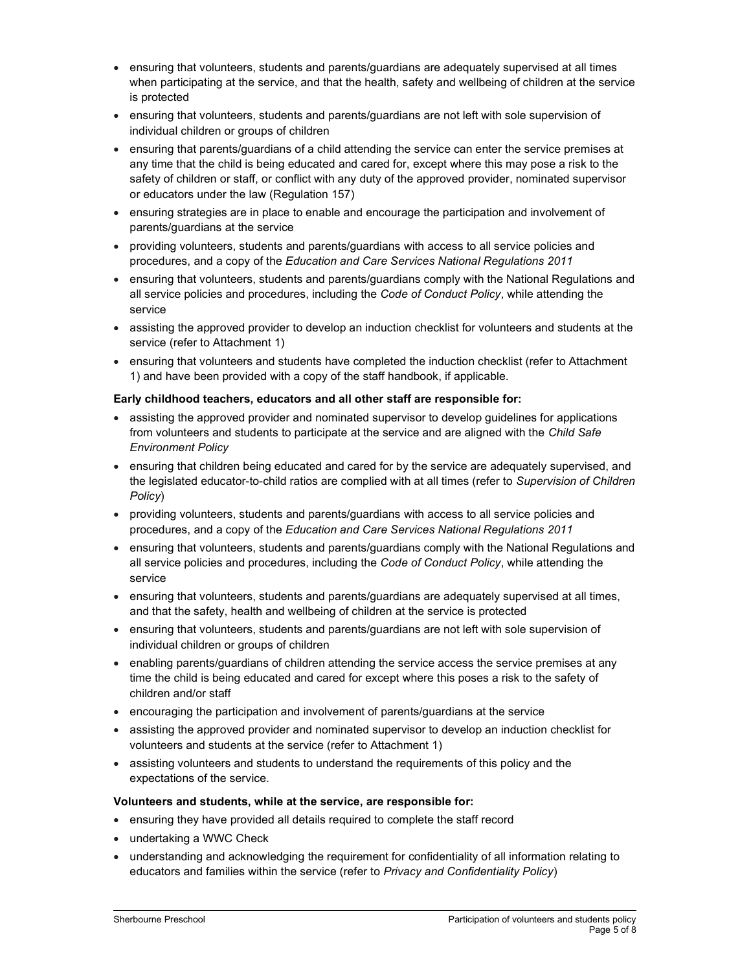- ensuring that volunteers, students and parents/guardians are adequately supervised at all times when participating at the service, and that the health, safety and wellbeing of children at the service is protected
- ensuring that volunteers, students and parents/guardians are not left with sole supervision of individual children or groups of children
- ensuring that parents/guardians of a child attending the service can enter the service premises at any time that the child is being educated and cared for, except where this may pose a risk to the safety of children or staff, or conflict with any duty of the approved provider, nominated supervisor or educators under the law (Regulation 157)
- ensuring strategies are in place to enable and encourage the participation and involvement of parents/guardians at the service
- providing volunteers, students and parents/guardians with access to all service policies and procedures, and a copy of the Education and Care Services National Regulations 2011
- ensuring that volunteers, students and parents/guardians comply with the National Regulations and all service policies and procedures, including the Code of Conduct Policy, while attending the service
- assisting the approved provider to develop an induction checklist for volunteers and students at the service (refer to Attachment 1)
- ensuring that volunteers and students have completed the induction checklist (refer to Attachment 1) and have been provided with a copy of the staff handbook, if applicable.

#### Early childhood teachers, educators and all other staff are responsible for:

- assisting the approved provider and nominated supervisor to develop guidelines for applications from volunteers and students to participate at the service and are aligned with the Child Safe Environment Policy
- ensuring that children being educated and cared for by the service are adequately supervised, and the legislated educator-to-child ratios are complied with at all times (refer to Supervision of Children Policy)
- providing volunteers, students and parents/guardians with access to all service policies and procedures, and a copy of the Education and Care Services National Regulations 2011
- ensuring that volunteers, students and parents/guardians comply with the National Regulations and all service policies and procedures, including the Code of Conduct Policy, while attending the service
- ensuring that volunteers, students and parents/guardians are adequately supervised at all times, and that the safety, health and wellbeing of children at the service is protected
- ensuring that volunteers, students and parents/guardians are not left with sole supervision of individual children or groups of children
- enabling parents/guardians of children attending the service access the service premises at any time the child is being educated and cared for except where this poses a risk to the safety of children and/or staff
- encouraging the participation and involvement of parents/guardians at the service
- assisting the approved provider and nominated supervisor to develop an induction checklist for volunteers and students at the service (refer to Attachment 1)
- assisting volunteers and students to understand the requirements of this policy and the expectations of the service.

### Volunteers and students, while at the service, are responsible for:

- ensuring they have provided all details required to complete the staff record
- undertaking a WWC Check
- understanding and acknowledging the requirement for confidentiality of all information relating to educators and families within the service (refer to Privacy and Confidentiality Policy)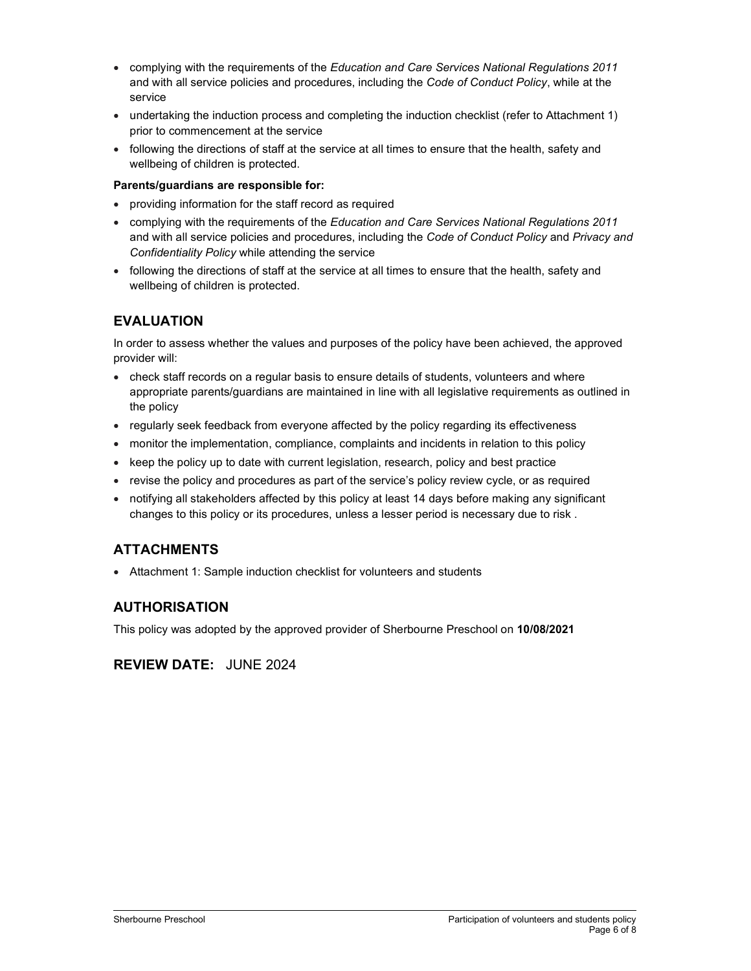- complying with the requirements of the Education and Care Services National Regulations 2011 and with all service policies and procedures, including the Code of Conduct Policy, while at the service
- undertaking the induction process and completing the induction checklist (refer to Attachment 1) prior to commencement at the service
- following the directions of staff at the service at all times to ensure that the health, safety and wellbeing of children is protected.

### Parents/guardians are responsible for:

- providing information for the staff record as required
- complying with the requirements of the Education and Care Services National Regulations 2011 and with all service policies and procedures, including the Code of Conduct Policy and Privacy and Confidentiality Policy while attending the service
- following the directions of staff at the service at all times to ensure that the health, safety and wellbeing of children is protected.

# EVALUATION

In order to assess whether the values and purposes of the policy have been achieved, the approved provider will:

- check staff records on a regular basis to ensure details of students, volunteers and where appropriate parents/guardians are maintained in line with all legislative requirements as outlined in the policy
- regularly seek feedback from everyone affected by the policy regarding its effectiveness
- monitor the implementation, compliance, complaints and incidents in relation to this policy
- $\bullet$  keep the policy up to date with current legislation, research, policy and best practice
- revise the policy and procedures as part of the service's policy review cycle, or as required
- notifying all stakeholders affected by this policy at least 14 days before making any significant changes to this policy or its procedures, unless a lesser period is necessary due to risk .

# ATTACHMENTS

Attachment 1: Sample induction checklist for volunteers and students

# AUTHORISATION

This policy was adopted by the approved provider of Sherbourne Preschool on 10/08/2021

# REVIEW DATE: JUNE 2024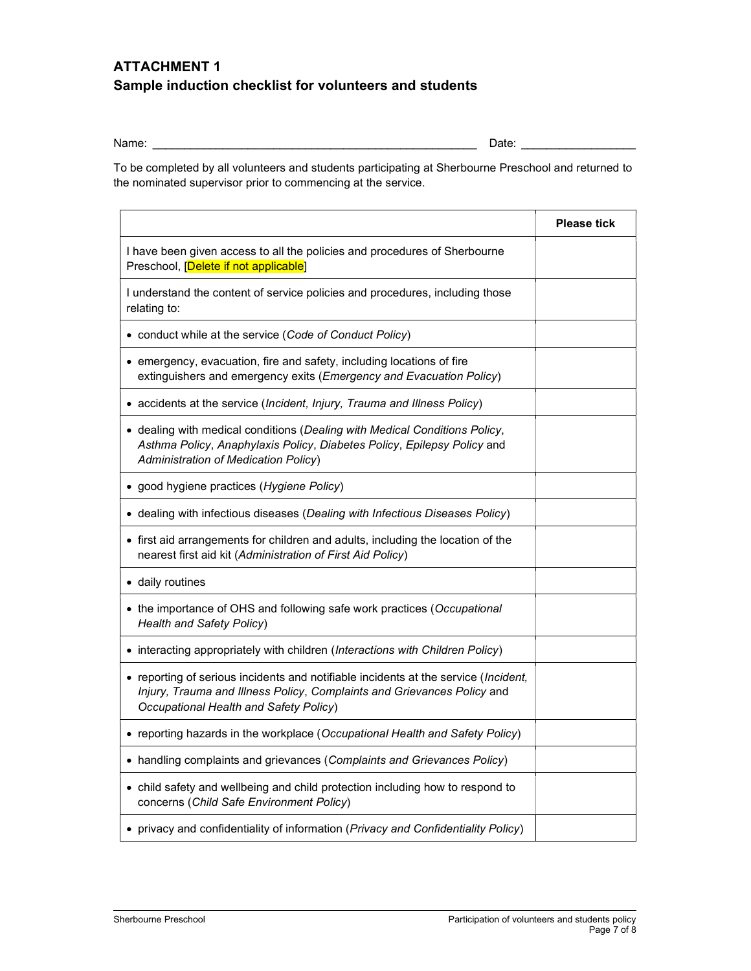# ATTACHMENT 1 Sample induction checklist for volunteers and students

Name: \_\_\_\_\_\_\_\_\_\_\_\_\_\_\_\_\_\_\_\_\_\_\_\_\_\_\_\_\_\_\_\_\_\_\_\_\_\_\_\_\_\_\_\_\_\_\_\_\_\_\_ Date: \_\_\_\_\_\_\_\_\_\_\_\_\_\_\_\_\_\_

To be completed by all volunteers and students participating at Sherbourne Preschool and returned to the nominated supervisor prior to commencing at the service.

|                                                                                                                                                                                                          | <b>Please tick</b> |
|----------------------------------------------------------------------------------------------------------------------------------------------------------------------------------------------------------|--------------------|
| I have been given access to all the policies and procedures of Sherbourne<br>Preschool, [Delete if not applicable]                                                                                       |                    |
| I understand the content of service policies and procedures, including those<br>relating to:                                                                                                             |                    |
| • conduct while at the service (Code of Conduct Policy)                                                                                                                                                  |                    |
| • emergency, evacuation, fire and safety, including locations of fire<br>extinguishers and emergency exits (Emergency and Evacuation Policy)                                                             |                    |
| • accidents at the service (Incident, Injury, Trauma and Illness Policy)                                                                                                                                 |                    |
| • dealing with medical conditions (Dealing with Medical Conditions Policy,<br>Asthma Policy, Anaphylaxis Policy, Diabetes Policy, Epilepsy Policy and<br>Administration of Medication Policy)            |                    |
| · good hygiene practices (Hygiene Policy)                                                                                                                                                                |                    |
| • dealing with infectious diseases (Dealing with Infectious Diseases Policy)                                                                                                                             |                    |
| • first aid arrangements for children and adults, including the location of the<br>nearest first aid kit (Administration of First Aid Policy)                                                            |                    |
| • daily routines                                                                                                                                                                                         |                    |
| • the importance of OHS and following safe work practices (Occupational<br><b>Health and Safety Policy)</b>                                                                                              |                    |
| • interacting appropriately with children (Interactions with Children Policy)                                                                                                                            |                    |
| • reporting of serious incidents and notifiable incidents at the service (Incident,<br>Injury, Trauma and Illness Policy, Complaints and Grievances Policy and<br>Occupational Health and Safety Policy) |                    |
| • reporting hazards in the workplace (Occupational Health and Safety Policy)                                                                                                                             |                    |
| • handling complaints and grievances (Complaints and Grievances Policy)                                                                                                                                  |                    |
| • child safety and wellbeing and child protection including how to respond to<br>concerns (Child Safe Environment Policy)                                                                                |                    |
| • privacy and confidentiality of information (Privacy and Confidentiality Policy)                                                                                                                        |                    |